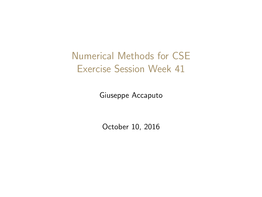<span id="page-0-0"></span>Numerical Methods for CSE Exercise Session Week 41

Giuseppe Accaputo

October 10, 2016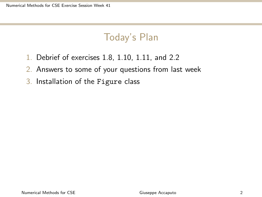# Today's Plan

- 1. Debrief of exercises 1.8, 1.10, 1.11, and 2.2
- 2. Answers to some of your questions from last week
- 3. Installation of the Figure class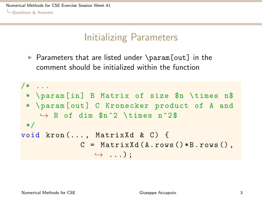<span id="page-2-0"></span>[Numerical Methods for CSE Exercise Session Week 41](#page-0-0) **L**[Questions & Answers](#page-2-0)

### Initializing Parameters

 $\triangleright$  Parameters that are listed under \param[out] in the comment should be initialized within the function

```
/* ...
 * \ param [in] B Matrix of size $n \ times n$
 * \ param [out] C Kronecker product of A and
     \rightarrow B of dim \text{\$n^2 \times 1$} times n^2$
 */
void kron ( \ldots, MatrixXd & C) {
                C = \text{MatrixXd}(A.rows() * B.rows(),
                    \hookrightarrow ...):
```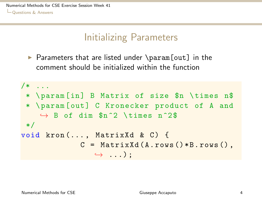<span id="page-3-0"></span>[Numerical Methods for CSE Exercise Session Week 41](#page-0-0) **L**[Questions & Answers](#page-3-0)

### Initializing Parameters

 $\triangleright$  Parameters that are listed under \param[out] in the comment should be initialized within the function

```
/* ...
 * \ param [in] B Matrix of size $n \ times n$
 * \ param [out] C Kronecker product of A and
     \rightarrow B of dim \text{\$n^2 \times 1$} times n^2$
 */
void kron ( \ldots, MatrixXd & C) {
                C = \text{MatrixXd}(A.rows() * B.rows(),
                    \hookrightarrow ...):
```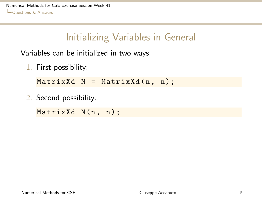<span id="page-4-0"></span>[Numerical Methods for CSE Exercise Session Week 41](#page-0-0) **L**[Questions & Answers](#page-4-0)

### Initializing Variables in General

Variables can be initialized in two ways:

1. First possibility:

 $MatrixXd M = MatrixXd(n, n);$ 

2. Second possibility:

MatrixXd M(n, n);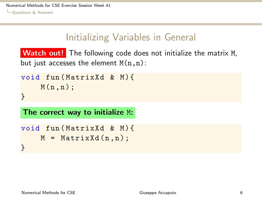# Initializing Variables in General

<span id="page-5-0"></span>Watch out! The following code does not initialize the matrix M, but just accesses the element  $M(n,n)$ :

```
void fun (MatrixXd & M) {
    M(n, n);
}
```
The correct way to initialize M:

```
void fun (MatrixXd & M) {
    M = MatrixXd(n, n);
}
```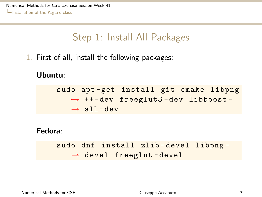## Step 1: Install All Packages

<span id="page-6-0"></span>1. First of all, install the following packages:

#### Ubuntu:

sudo apt-get install git cmake libpng  $\leftrightarrow$  ++-dev freeglut3-dev libboost- $\leftrightarrow$  all-dev

#### Fedora:

sudo dnf install zlib-devel libpng- $\leftrightarrow$  devel freeglut-devel

Numerical Methods for CSE Giuseppe Accaputo 7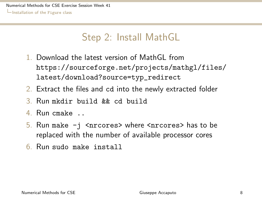## Step 2: Install MathGL

- <span id="page-7-0"></span>1. Download the latest version of MathGL from [https://sourceforge.net/projects/mathgl/files/](https://sourceforge.net/projects/mathgl/files/latest/download?source=typ_redirect) [latest/download?source=typ\\_redirect](https://sourceforge.net/projects/mathgl/files/latest/download?source=typ_redirect)
- 2. Extract the files and cd into the newly extracted folder
- 3. Run mkdir build && cd build
- 4. Run cmake ..
- 5. Run make  $-i$  <nrcores> where <nrcores> has to be replaced with the number of available processor cores
- 6. Run sudo make install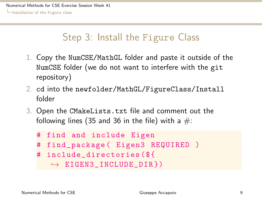# <span id="page-8-0"></span>Step 3: Install the Figure Class

- 1. Copy the NumCSE/MathGL folder and paste it outside of the NumCSE folder (we do not want to interfere with the git repository)
- 2. cd into the newfolder/MathGL/FigureClass/Install folder
- 3. Open the CMakeLists.txt file and comment out the following lines (35 and 36 in the file) with a  $\#$ :



Numerical Methods for CSE Giuseppe Accaputo 9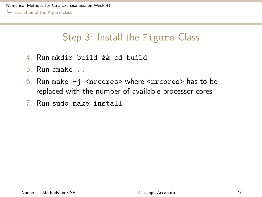# <span id="page-9-0"></span>Step 3: Install the Figure Class

- 4. Run mkdir build && cd build
- 5. Run cmake ..
- 6. Run make  $-i$  <nrcores> where <nrcores> has to be replaced with the number of available processor cores
- 7. Run sudo make install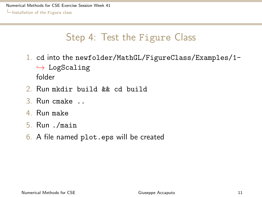# Step 4: Test the Figure Class

- <span id="page-10-0"></span>1. cd into the newfolder/MathGL/FigureClass/Examples/1-  $\hookrightarrow$  LogScaling folder
- 2. Run mkdir build && cd build
- 3. Run cmake ..
- 4. Run make
- 5. Run ./main
- 6. A file named plot.eps will be created